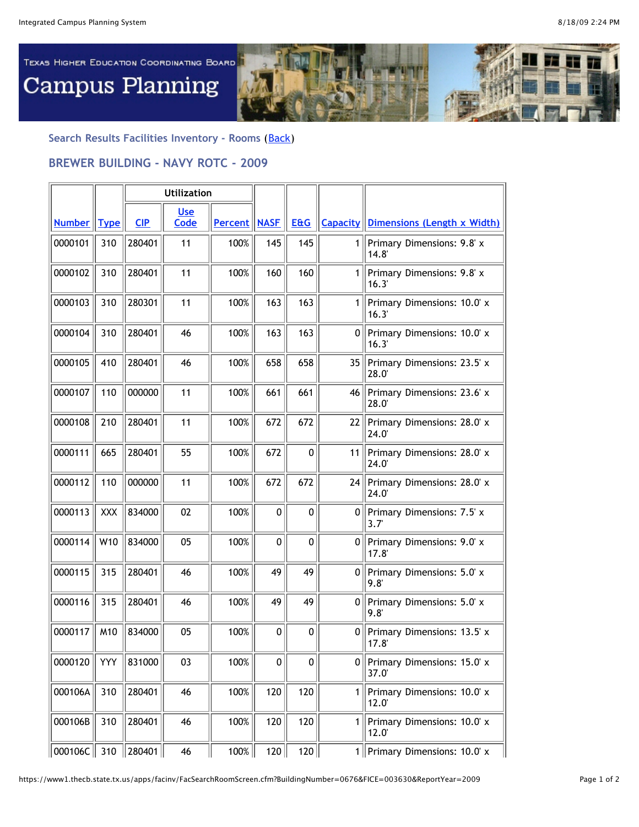

**Search Results Facilities Inventory - Rooms** ([Back\)](javascript:history.go(-1))

## **BREWER BUILDING - NAVY ROTC - 2009**

|               |            | <b>Utilization</b> |                    |                       |              |                |                 |                                             |
|---------------|------------|--------------------|--------------------|-----------------------|--------------|----------------|-----------------|---------------------------------------------|
| <b>Number</b> | Type       | <b>CIP</b>         | <b>Use</b><br>Code | <b>Percent   NASF</b> |              | <b>E&amp;G</b> | <b>Capacity</b> | Dimensions (Length x Width)                 |
| 0000101       | 310        | 280401             | 11                 | 100%                  | 145          | 145            | 1               | Primary Dimensions: 9.8' x<br>14.8'         |
| 0000102       | 310        | 280401             | 11                 | 100%                  | 160          | 160            | 1.              | Primary Dimensions: 9.8' x<br>16.3'         |
| 0000103       | 310        | 280301             | 11                 | 100%                  | 163          | 163            | $\mathbf{1}$    | Primary Dimensions: 10.0' x<br>16.3'        |
| 0000104       | 310        | 280401             | 46                 | 100%                  | 163          | 163            | 0 <sup>1</sup>  | Primary Dimensions: 10.0' x<br>16.3'        |
| 0000105       | 410        | 280401             | 46                 | 100%                  | 658          | 658            | 35              | Primary Dimensions: 23.5' x<br>28.0         |
| 0000107       | 110        | 000000             | 11                 | 100%                  | 661          | 661            | 46              | Primary Dimensions: 23.6' x<br>28.0         |
| 0000108       | 210        | 280401             | 11                 | 100%                  | 672          | 672            | 22              | Primary Dimensions: 28.0' x<br>24.0'        |
| 0000111       | 665        | 280401             | 55                 | 100%                  | 672          | $\mathbf 0$    | 11              | Primary Dimensions: 28.0' x<br>24.0         |
| 0000112       | 110        | 000000             | 11                 | 100%                  | 672          | 672            | 24              | Primary Dimensions: 28.0' x<br>24.0'        |
| 0000113       | <b>XXX</b> | 834000             | 02                 | 100%                  | $\mathbf{0}$ | $\mathbf 0$    | 0               | Primary Dimensions: 7.5' x<br>$3.7^{\circ}$ |
| 0000114       | W10        | 834000             | 05                 | 100%                  | $\mathbf{0}$ | $\mathbf{0}$   | 0               | Primary Dimensions: 9.0' x<br>17.8          |
| 0000115       | 315        | 280401             | 46                 | 100%                  | 49           | 49             | 0 <sup>1</sup>  | Primary Dimensions: 5.0' x<br>9.8'          |
| 0000116       | 315        | 280401             | 46                 | 100%                  | 49           | 49             | 0 <sup>1</sup>  | Primary Dimensions: 5.0' x<br>9.8'          |
| 0000117       | M10        | 834000             | 05                 | 100%                  | $\mathbf{0}$ | $\mathbf 0$    | 0               | Primary Dimensions: 13.5' x<br>17.8'        |
| 0000120       | <b>YYY</b> | 831000             | 03                 | 100%                  | 0            | 0              | 0 <sup>1</sup>  | Primary Dimensions: 15.0' x<br>37.0'        |
| 000106A       | 310        | 280401             | 46                 | 100%                  | 120          | 120            | 1               | Primary Dimensions: 10.0' x<br>12.0'        |
| 000106B       | 310        | 280401             | 46                 | 100%                  | 120          | 120            | 1 <sup>1</sup>  | Primary Dimensions: 10.0' x<br>12.0         |
| 000106C 310   |            | 280401             | 46                 | 100%                  | 120          | 120            |                 | 1   Primary Dimensions: $10.0^{\circ}$ x    |